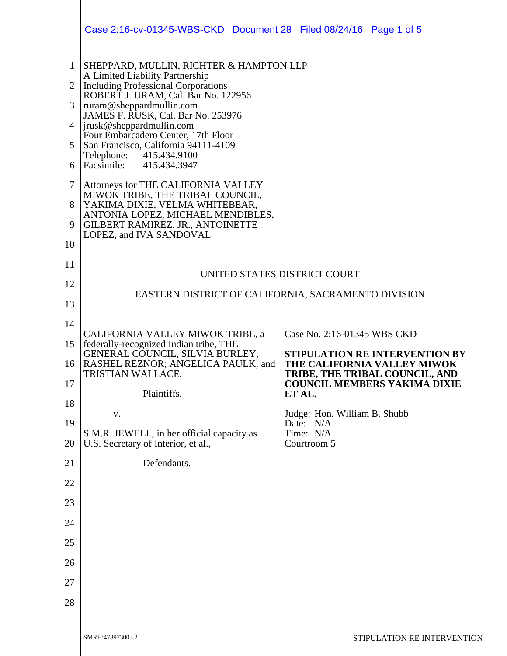|                     | Case 2:16-cv-01345-WBS-CKD Document 28 Filed 08/24/16 Page 1 of 5                                                        |                                                               |  |
|---------------------|--------------------------------------------------------------------------------------------------------------------------|---------------------------------------------------------------|--|
| 1<br>$\overline{2}$ | SHEPPARD, MULLIN, RICHTER & HAMPTON LLP<br>A Limited Liability Partnership<br><b>Including Professional Corporations</b> |                                                               |  |
| 3                   | ROBERT J. URAM, Cal. Bar No. 122956<br>ruram@sheppardmullin.com                                                          |                                                               |  |
| 4                   | JAMES F. RUSK, Cal. Bar No. 253976<br>jrusk@sheppardmullin.com                                                           |                                                               |  |
| 5                   | Four Embarcadero Center, 17th Floor<br>San Francisco, California 94111-4109                                              |                                                               |  |
| 6                   | Telephone:<br>415.434.9100<br>Facsimile: 415.434.3947                                                                    |                                                               |  |
| $\tau$              | Attorneys for THE CALIFORNIA VALLEY<br>MIWOK TRIBE, THE TRIBAL COUNCIL,                                                  |                                                               |  |
| 8<br>9              | YAKIMA DIXIE, VELMA WHITEBEAR,<br>ANTONIA LOPEZ, MICHAEL MENDIBLES,<br>GILBERT RAMIREZ, JR., ANTOINETTE                  |                                                               |  |
| 10                  | LOPEZ, and IVA SANDOVAL                                                                                                  |                                                               |  |
| 11                  |                                                                                                                          |                                                               |  |
| 12                  | UNITED STATES DISTRICT COURT<br>EASTERN DISTRICT OF CALIFORNIA, SACRAMENTO DIVISION                                      |                                                               |  |
| 13                  |                                                                                                                          |                                                               |  |
| 14                  | CALIFORNIA VALLEY MIWOK TRIBE, a                                                                                         | Case No. 2:16-01345 WBS CKD                                   |  |
| 15                  | federally-recognized Indian tribe, THE<br>GENERAL COUNCIL, SILVIA BURLEY,                                                | <b>STIPULATION RE INTERVENTION BY</b>                         |  |
| 16                  | RASHEL REZNOR; ANGELICA PAULK; and<br>TRISTIAN WALLACE,                                                                  | THE CALIFORNIA VALLEY MIWOK<br>TRIBE, THE TRIBAL COUNCIL, AND |  |
| 17                  | Plaintiffs,                                                                                                              | <b>COUNCIL MEMBERS YAKIMA DIXIE</b><br>ET AL.                 |  |
| 18                  | V.                                                                                                                       | Judge: Hon. William B. Shubb                                  |  |
| 19<br>20            | S.M.R. JEWELL, in her official capacity as<br>U.S. Secretary of Interior, et al.,                                        | Date: N/A<br>Time: N/A<br>Courtroom 5                         |  |
| 21                  | Defendants.                                                                                                              |                                                               |  |
| 22                  |                                                                                                                          |                                                               |  |
| 23                  |                                                                                                                          |                                                               |  |
| 24                  |                                                                                                                          |                                                               |  |
| 25                  |                                                                                                                          |                                                               |  |
| 26                  |                                                                                                                          |                                                               |  |
| 27                  |                                                                                                                          |                                                               |  |
| 28                  |                                                                                                                          |                                                               |  |
|                     | SMRH:478973003.2                                                                                                         | STIPULATION RE INTERVENTION                                   |  |
|                     |                                                                                                                          |                                                               |  |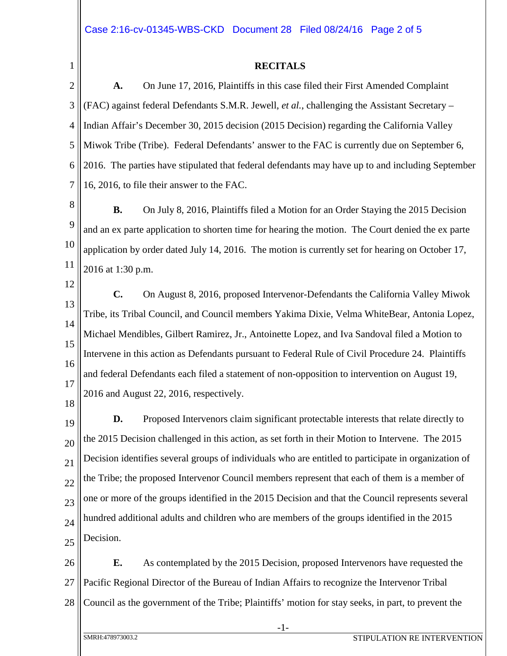1

## **RECITALS**

2 3 4 5 6 7 **A.** On June 17, 2016, Plaintiffs in this case filed their First Amended Complaint (FAC) against federal Defendants S.M.R. Jewell, *et al.*, challenging the Assistant Secretary – Indian Affair's December 30, 2015 decision (2015 Decision) regarding the California Valley Miwok Tribe (Tribe). Federal Defendants' answer to the FAC is currently due on September 6, 2016. The parties have stipulated that federal defendants may have up to and including September 16, 2016, to file their answer to the FAC.

8 9 10 11 **B.** On July 8, 2016, Plaintiffs filed a Motion for an Order Staying the 2015 Decision and an ex parte application to shorten time for hearing the motion. The Court denied the ex parte application by order dated July 14, 2016. The motion is currently set for hearing on October 17, 2016 at 1:30 p.m.

12

18

13 14 15 16 17 **C.** On August 8, 2016, proposed Intervenor-Defendants the California Valley Miwok Tribe, its Tribal Council, and Council members Yakima Dixie, Velma WhiteBear, Antonia Lopez, Michael Mendibles, Gilbert Ramirez, Jr., Antoinette Lopez, and Iva Sandoval filed a Motion to Intervene in this action as Defendants pursuant to Federal Rule of Civil Procedure 24. Plaintiffs and federal Defendants each filed a statement of non-opposition to intervention on August 19, 2016 and August 22, 2016, respectively.

19 20 21 22 23 24 25 **D.** Proposed Intervenors claim significant protectable interests that relate directly to the 2015 Decision challenged in this action, as set forth in their Motion to Intervene. The 2015 Decision identifies several groups of individuals who are entitled to participate in organization of the Tribe; the proposed Intervenor Council members represent that each of them is a member of one or more of the groups identified in the 2015 Decision and that the Council represents several hundred additional adults and children who are members of the groups identified in the 2015 Decision.

26 27 28 **E.** As contemplated by the 2015 Decision, proposed Intervenors have requested the Pacific Regional Director of the Bureau of Indian Affairs to recognize the Intervenor Tribal Council as the government of the Tribe; Plaintiffs' motion for stay seeks, in part, to prevent the

-1-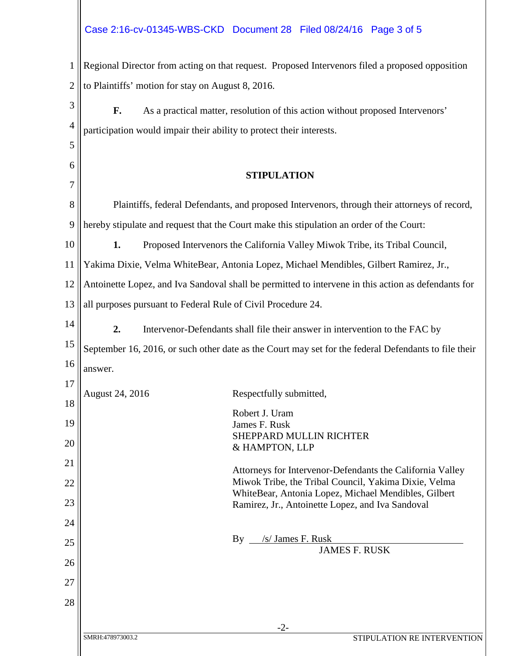## Case 2:16-cv-01345-WBS-CKD Document 28 Filed 08/24/16 Page 3 of 5

| $1$ Regional Director from acting on that request. Proposed Intervenors filed a proposed opposition |
|-----------------------------------------------------------------------------------------------------|
| 2   to Plaintiffs' motion for stay on August 8, 2016.                                               |
|                                                                                                     |

| 3              | F.                                                                                                  | As a practical matter, resolution of this action without proposed Intervenors'               |
|----------------|-----------------------------------------------------------------------------------------------------|----------------------------------------------------------------------------------------------|
| $\overline{4}$ | participation would impair their ability to protect their interests.                                |                                                                                              |
| 5              |                                                                                                     |                                                                                              |
| 6              |                                                                                                     |                                                                                              |
| 7              |                                                                                                     | <b>STIPULATION</b>                                                                           |
| 8              |                                                                                                     | Plaintiffs, federal Defendants, and proposed Intervenors, through their attorneys of record, |
| 9              |                                                                                                     | hereby stipulate and request that the Court make this stipulation an order of the Court:     |
| 10             | 1.                                                                                                  | Proposed Intervenors the California Valley Miwok Tribe, its Tribal Council,                  |
| 11             |                                                                                                     | Yakima Dixie, Velma WhiteBear, Antonia Lopez, Michael Mendibles, Gilbert Ramirez, Jr.,       |
| 12             | Antoinette Lopez, and Iva Sandoval shall be permitted to intervene in this action as defendants for |                                                                                              |
| 13             |                                                                                                     | all purposes pursuant to Federal Rule of Civil Procedure 24.                                 |
| 14             | 2.                                                                                                  | Intervenor-Defendants shall file their answer in intervention to the FAC by                  |

15 16 September 16, 2016, or such other date as the Court may set for the federal Defendants to file their answer.

| 17 |                  |                                                           |
|----|------------------|-----------------------------------------------------------|
| 18 | August 24, 2016  | Respectfully submitted,                                   |
|    |                  | Robert J. Uram                                            |
| 19 |                  | James F. Rusk                                             |
| 20 |                  | <b>SHEPPARD MULLIN RICHTER</b>                            |
|    |                  | & HAMPTON, LLP                                            |
| 21 |                  | Attorneys for Intervenor-Defendants the California Valley |
| 22 |                  | Miwok Tribe, the Tribal Council, Yakima Dixie, Velma      |
| 23 |                  | WhiteBear, Antonia Lopez, Michael Mendibles, Gilbert      |
|    |                  | Ramirez, Jr., Antoinette Lopez, and Iva Sandoval          |
| 24 |                  |                                                           |
| 25 |                  | /s/ James F. Rusk<br>By                                   |
|    |                  | <b>JAMES F. RUSK</b>                                      |
| 26 |                  |                                                           |
| 27 |                  |                                                           |
| 28 |                  |                                                           |
|    |                  |                                                           |
|    |                  | $-2-$                                                     |
|    | SMRH:478973003.2 | STIPULATION RE INTERVENTION                               |
|    |                  |                                                           |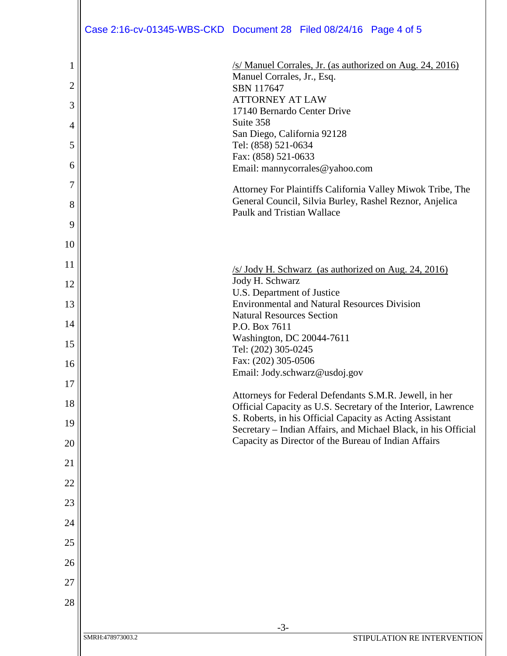|                |                  | Case 2:16-cv-01345-WBS-CKD Document 28 Filed 08/24/16 Page 4 of 5                                                                                   |
|----------------|------------------|-----------------------------------------------------------------------------------------------------------------------------------------------------|
| 1              |                  | /s/ Manuel Corrales, Jr. (as authorized on Aug. 24, 2016)                                                                                           |
| $\overline{2}$ |                  | Manuel Corrales, Jr., Esq.<br>SBN 117647                                                                                                            |
| 3              |                  | <b>ATTORNEY AT LAW</b>                                                                                                                              |
| $\overline{4}$ |                  | 17140 Bernardo Center Drive<br>Suite 358                                                                                                            |
| 5              |                  | San Diego, California 92128<br>Tel: (858) 521-0634                                                                                                  |
| 6              |                  | Fax: (858) 521-0633                                                                                                                                 |
| $\overline{7}$ |                  | Email: mannycorrales@yahoo.com                                                                                                                      |
| 8              |                  | Attorney For Plaintiffs California Valley Miwok Tribe, The<br>General Council, Silvia Burley, Rashel Reznor, Anjelica<br>Paulk and Tristian Wallace |
| 9              |                  |                                                                                                                                                     |
| 10             |                  |                                                                                                                                                     |
| 11             |                  | $/s$ Jody H. Schwarz (as authorized on Aug. 24, 2016)                                                                                               |
| 12             |                  | Jody H. Schwarz<br>U.S. Department of Justice                                                                                                       |
| 13             |                  | <b>Environmental and Natural Resources Division</b>                                                                                                 |
| 14             |                  | <b>Natural Resources Section</b><br>P.O. Box 7611                                                                                                   |
| 15             |                  | Washington, DC 20044-7611<br>Tel: (202) 305-0245                                                                                                    |
| 16             |                  | Fax: (202) 305-0506                                                                                                                                 |
| 17             |                  | Email: Jody.schwarz@usdoj.gov                                                                                                                       |
| 18             |                  | Attorneys for Federal Defendants S.M.R. Jewell, in her<br>Official Capacity as U.S. Secretary of the Interior, Lawrence                             |
| 19             |                  | S. Roberts, in his Official Capacity as Acting Assistant<br>Secretary - Indian Affairs, and Michael Black, in his Official                          |
| 20             |                  | Capacity as Director of the Bureau of Indian Affairs                                                                                                |
| 21             |                  |                                                                                                                                                     |
| 22             |                  |                                                                                                                                                     |
| 23             |                  |                                                                                                                                                     |
| 24             |                  |                                                                                                                                                     |
| 25             |                  |                                                                                                                                                     |
| 26             |                  |                                                                                                                                                     |
| 27             |                  |                                                                                                                                                     |
| 28             |                  |                                                                                                                                                     |
|                |                  | $-3-$                                                                                                                                               |
|                | SMRH:478973003.2 | STIPULATION RE INTERVENTION                                                                                                                         |
|                |                  |                                                                                                                                                     |